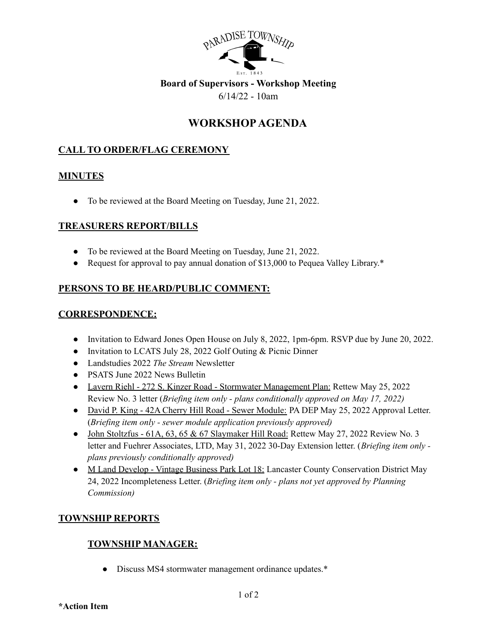

## **Board of Supervisors - Workshop Meeting** 6/14/22 - 10am

# **WORKSHOPAGENDA**

# **CALL TO ORDER/FLAG CEREMONY**

## **MINUTES**

● To be reviewed at the Board Meeting on Tuesday, June 21, 2022.

#### **TREASURERS REPORT/BILLS**

- To be reviewed at the Board Meeting on Tuesday, June 21, 2022.
- Request for approval to pay annual donation of \$13,000 to Pequea Valley Library.\*

# **PERSONS TO BE HEARD/PUBLIC COMMENT:**

## **CORRESPONDENCE:**

- Invitation to Edward Jones Open House on July 8, 2022, 1pm-6pm. RSVP due by June 20, 2022.
- Invitation to LCATS July 28, 2022 Golf Outing & Picnic Dinner
- Landstudies 2022 *The Stream* Newsletter
- PSATS June 2022 News Bulletin
- Lavern Riehl 272 S. Kinzer Road Stormwater Management Plan: Rettew May 25, 2022 Review No. 3 letter (*Briefing item only - plans conditionally approved on May 17, 2022)*
- David P. King 42A Cherry Hill Road Sewer Module: PA DEP May 25, 2022 Approval Letter. (*Briefing item only - sewer module application previously approved)*
- John Stoltzfus 61A, 63, 65 & 67 Slaymaker Hill Road: Rettew May 27, 2022 Review No. 3 letter and Fuehrer Associates, LTD, May 31, 2022 30-Day Extension letter. (*Briefing item only plans previously conditionally approved)*
- M Land Develop Vintage Business Park Lot 18: Lancaster County Conservation District May 24, 2022 Incompleteness Letter. (*Briefing item only - plans not yet approved by Planning Commission)*

# **TOWNSHIP REPORTS**

# **TOWNSHIP MANAGER:**

• Discuss MS4 stormwater management ordinance updates.\*